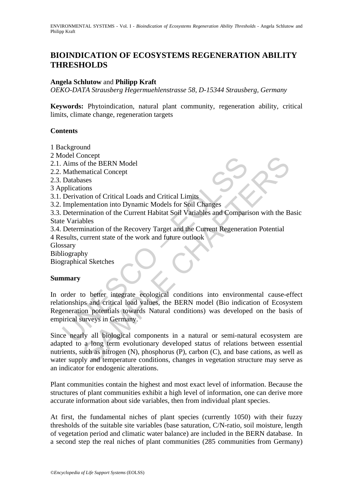# **BIOINDICATION OF ECOSYSTEMS REGENERATION ABILITY THRESHOLDS**

#### **Angela Schlutow** and **Philipp Kraft**

*OEKO-DATA Strausberg Hegermuehlenstrasse 58, D-15344 Strausberg, Germany* 

**Keywords:** Phytoindication, natural plant community, regeneration ability, critical limits, climate change, regeneration targets

#### **Contents**

- 1 Background
- 2 Model Concept
- 2.1. Aims of the BERN Model
- 2.2. Mathematical Concept
- 2.3. Databases
- 3 Applications
- 3.1. Derivation of Critical Loads and Critical Limits
- 3.2. Implementation into Dynamic Models for Soil Changes
- 3.3. Determination of the Current Habitat Soil Variables and Comparison with the Basic State Variables
- 3.4. Determination of the Recovery Target and the Current Regeneration Potential 4 Results, current state of the work and future outlook
- **Glossary**
- Bibliography
- Biographical Sketches

## **Summary**

ouer Concept<br>
Aims of the BERN Model<br>
Aims of the BERN Model<br>
Databases<br>
pplications<br>
Derivation of Critical Loads and Critical Limits<br>
Implementation into Dynamic Models for Soil Changes<br>
Determination of the Current Habi In order to better integrate ecological conditions into environmental cause-effect relationships and critical load values, the BERN model (Bio indication of Ecosystem Regeneration potentials towards Natural conditions) was developed on the basis of empirical surveys in Germany.

oncept<br>
of the BERN Model<br>
matical Concept<br>
stos<br>
stors<br>
trion of Critical Loads and Critical Limits<br>
mentation into Dynamic Models for Soil Changes<br>
into the Recovery Target and the Current Regeneration Potential<br>
current Since nearly all biological components in a natural or semi-natural ecosystem are adapted to a long term evolutionary developed status of relations between essential nutrients, such as nitrogen (N), phosphorus (P), carbon (C), and base cations, as well as water supply and temperature conditions, changes in vegetation structure may serve as an indicator for endogenic alterations.

Plant communities contain the highest and most exact level of information. Because the structures of plant communities exhibit a high level of information, one can derive more accurate information about side variables, then from individual plant species.

At first, the fundamental niches of plant species (currently 1050) with their fuzzy thresholds of the suitable site variables (base saturation, C/N-ratio, soil moisture, length of vegetation period and climatic water balance) are included in the BERN database. In a second step the real niches of plant communities (285 communities from Germany)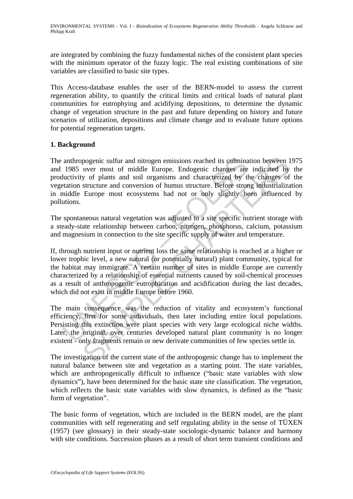are integrated by combining the fuzzy fundamental niches of the consistent plant species with the minimum operator of the fuzzy logic. The real existing combinations of site variables are classified to basic site types.

This Access-database enables the user of the BERN-model to assess the current regeneration ability, to quantify the critical limits and critical loads of natural plant communities for eutrophying and acidifying depositions, to determine the dynamic change of vegetation structure in the past and future depending on history and future scenarios of utilization, depositions and climate change and to evaluate future options for potential regeneration targets.

## **1. Background**

anthropogenic sulfur and nitrogen emissions reached its culmina<br>1985 over most of middle Europe. Endogenic changes are<br>luctivity of plants and soil organisms and characterized by the<br>tation structure and conversion of humu pogenic sulfur and nitrogen emissions reached its culmination between 1<br>over most of middle Europe. Endogenic changes are indicated by<br>y of plants and soil organisms and characterized by<br>structure and conversion of humus s The anthropogenic sulfur and nitrogen emissions reached its culmination between 1975 and 1985 over most of middle Europe. Endogenic changes are indicated by the productivity of plants and soil organisms and characterized by the changes of the vegetation structure and conversion of humus structure. Before strong industrialization in middle Europe most ecosystems had not or only slightly been influenced by pollutions.

The spontaneous natural vegetation was adjusted to a site specific nutrient storage with a steady-state relationship between carbon, nitrogen, phosphorus, calcium, potassium and magnesium in connection to the site specific supply of water and temperature.

If, through nutrient input or nutrient loss the same relationship is reached at a higher or lower trophic level, a new natural (or potentially natural) plant community, typical for the habitat may immigrate. A certain number of sites in middle Europe are currently characterized by a relationship of essential nutrients caused by soil-chemical processes as a result of anthropogenic eutrophication and acidification during the last decades, which did not exist in middle Europe before 1960.

The main consequence was the reduction of vitality and ecosystem's functional efficiency, first for some individuals, then later including entire local populations. Persisting this extinction were plant species with very large ecological niche widths. Later, the original, over centuries developed natural plant community is no longer existent - only fragments remain or new derivate communities of few species settle in.

The investigation of the current state of the anthropogenic change has to implement the natural balance between site and vegetation as a starting point. The state variables, which are anthropogenically difficult to influence ("basic state variables with slow dynamics"), have been determined for the basic state site classification. The vegetation, which reflects the basic state variables with slow dynamics, is defined as the "basic form of vegetation".

The basic forms of vegetation, which are included in the BERN model, are the plant communities with self regenerating and self regulating ability in the sense of TÜXEN (1957) (see glossary) in their steady-state sociologic-dynamic balance and harmony with site conditions. Succession phases as a result of short term transient conditions and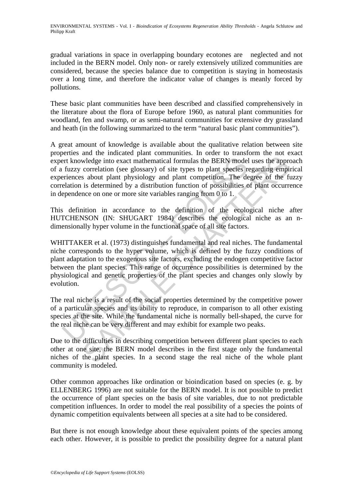gradual variations in space in overlapping boundary ecotones are neglected and not included in the BERN model. Only non- or rarely extensively utilized communities are considered, because the species balance due to competition is staying in homeostasis over a long time, and therefore the indicator value of changes is meanly forced by pollutions.

These basic plant communities have been described and classified comprehensively in the literature about the flora of Europe before 1960, as natural plant communities for woodland, fen and swamp, or as semi-natural communities for extensive dry grassland and heath (in the following summarized to the term "natural basic plant communities").

A great amount of knowledge is available about the qualitative relation between site properties and the indicated plant communities. In order to transform the not exact expert knowledge into exact mathematical formulas the BERN model uses the approach of a fuzzy correlation (see glossary) of site types to plant species regarding empirical experiences about plant physiology and plant competition. The degree of the fuzzy correlation is determined by a distribution function of possibilities of plant occurrence in dependence on one or more site variables ranging from 0 to 1.

This definition in accordance to the definition of the ecological niche after HUTCHENSON (IN: SHUGART 1984) describes the ecological niche as an ndimensionally hyper volume in the functional space of all site factors.

example into exact mathematical formulas the BERN model<br>fuzzy correlation (see glossary) of site types to plant species r<br>eriences about plant physiology and plant competition. The de<br>lation is determined by a distribution wledge into exact mathematical formulas the BERN model uses the approximation (see glossary) of site types to plant species regarding empirical is about plant bysiology and plant competition. The degree of the fit is deter WHITTAKER et al. (1973) distinguishes fundamental and real niches. The fundamental niche corresponds to the hyper volume, which is defined by the fuzzy conditions of plant adaptation to the exogenous site factors, excluding the endogen competitive factor between the plant species. This range of occurrence possibilities is determined by the physiological and genetic properties of the plant species and changes only slowly by evolution.

The real niche is a result of the social properties determined by the competitive power of a particular species and its ability to reproduce, in comparison to all other existing species at the site. While the fundamental niche is normally bell-shaped, the curve for the real niche can be very different and may exhibit for example two peaks.

Due to the difficulties in describing competition between different plant species to each other at one site, the BERN model describes in the first stage only the fundamental niches of the plant species. In a second stage the real niche of the whole plant community is modeled.

Other common approaches like ordination or bioindication based on species (e. g. by ELLENBERG 1996) are not suitable for the BERN model. It is not possible to predict the occurrence of plant species on the basis of site variables, due to not predictable competition influences. In order to model the real possibility of a species the points of dynamic competition equivalents between all species at a site had to be considered.

But there is not enough knowledge about these equivalent points of the species among each other. However, it is possible to predict the possibility degree for a natural plant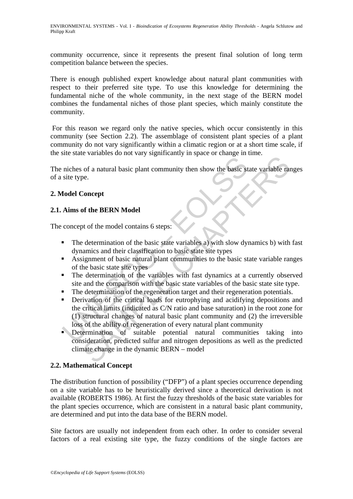ENVIRONMENTAL SYSTEMS - Vol. I - *Bioindication of Ecosystems Regeneration Ability Thresholds* - Angela Schlutow and Philipp Kraft

community occurrence, since it represents the present final solution of long term competition balance between the species.

There is enough published expert knowledge about natural plant communities with respect to their preferred site type. To use this knowledge for determining the fundamental niche of the whole community, in the next stage of the BERN model combines the fundamental niches of those plant species, which mainly constitute the community.

 For this reason we regard only the native species, which occur consistently in this community (see Section 2.2). The assemblage of consistent plant species of a plant community do not vary significantly within a climatic region or at a short time scale, if the site state variables do not vary significantly in space or change in time.

The niches of a natural basic plant community then show the basic state variable ranges of a site type.

## **2. Model Concept**

## **2.1. Aims of the BERN Model**

The concept of the model contains 6 steps:

- The determination of the basic state variables a) with slow dynamics b) with fast dynamics and their classification to basic state site types
- Assignment of basic natural plant communities to the basic state variable ranges of the basic state site types
- The determination of the variables with fast dynamics at a currently observed site and the comparison with the basic state variables of the basic state site type.
- The determination of the regeneration target and their regeneration potentials.
- niches of a natural basic plant community then show the basic state<br>site type.<br> **Concept**<br> **Concept**<br> **Concept**<br> **Concept**<br> **Concept**<br> **Concept**<br> **Concept**<br> **Concept**<br> **Concept**<br> **Concept**<br> **Concept**<br> **Concept**<br> **Concept**<br> The state and basic plant community then show the basic state variable random of a natural basic plant community then show the basic state variable range.<br>
Soncept<br>
Soncept<br>
Soncept<br>
of the BERN Model<br>
of the model contain **•** Derivation of the critical loads for eutrophying and acidifying depositions and the critical limits (indicated as C/N ratio and base saturation) in the root zone for (1) structural changes of natural basic plant community and (2) the irreversible loss of the ability of regeneration of every natural plant community
- Determination of suitable potential natural communities taking into consideration, predicted sulfur and nitrogen depositions as well as the predicted climate change in the dynamic BERN – model

#### **2.2. Mathematical Concept**

The distribution function of possibility ("DFP") of a plant species occurrence depending on a site variable has to be heuristically derived since a theoretical derivation is not available (ROBERTS 1986). At first the fuzzy thresholds of the basic state variables for the plant species occurrence, which are consistent in a natural basic plant community, are determined and put into the data base of the BERN model.

Site factors are usually not independent from each other. In order to consider several factors of a real existing site type, the fuzzy conditions of the single factors are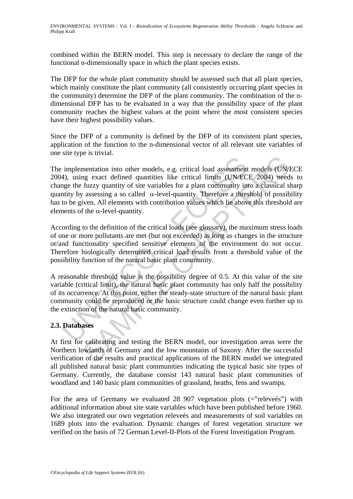combined within the BERN model. This step is necessary to declare the range of the functional n-dimensionally space in which the plant species exists.

The DFP for the whole plant community should be assessed such that all plant species, which mainly constitute the plant community (all consistently occurring plant species in the community) determine the DFP of the plant community. The combination of the ndimensional DFP has to be evaluated in a way that the possibility space of the plant community reaches the highest values at the point where the most consistent species have their highest possibility values.

Since the DFP of a community is defined by the DFP of its consistent plant species, application of the function to the n-dimensional vector of all relevant site variables of one site type is trivial.

implementation into other models, e.g. critical load assessment<br>4), using exact defined quantities like critical limits (UN/EC<br>mage the fuzzy quantity of site variables for a plant community intity<br>by assessing a so calle Example and introduced is, e.g. critical load assessment models (UN)<br>mg exact defined quantities like critical limits (UNMECE 2004) need<br>fuzzy quantity of site variables for a plant community into a classical si<br>assessing The implementation into other models, e.g. critical load assessment models (UN/ECE 2004), using exact defined quantities like critical limits (UN/ECE 2004) needs to change the fuzzy quantity of site variables for a plant community into a classical sharp quantity by assessing a so called  $\alpha$ -level-quantity. Therefore a threshold of possibility has to be given. All elements with contribution values which lie above this threshold are elements of the  $\alpha$ -level-quantity.

According to the definition of the critical loads (see glossary), the maximum stress loads of one or more pollutants are met (but not exceeded) as long as changes in the structure or/and functionality specified sensitive elements of the environment do not occur. Therefore biologically determined critical load results from a threshold value of the possibility function of the natural basic plant community.

A reasonable threshold value is the possibility degree of 0.5. At this value of the site variable (critical limit), the natural basic plant community has only half the possibility of its occurrence. At this point, either the steady-state structure of the natural basic plant community could be reproduced or the basic structure could change even further up to the extinction of the natural basic community.

## **2.3. Databases**

At first for calibrating and testing the BERN model, our investigation areas were the Northern lowlands of Germany and the low mountains of Saxony. After the successful verification of the results and practical applications of the BERN model we integrated all published natural basic plant communities indicating the typical basic site types of Germany. Currently, the database consist 143 natural basic plant communities of woodland and 140 basic plant communities of grassland, heaths, fens and swamps.

For the area of Germany we evaluated 28 907 vegetation plots  $(=$ "releveés") with additional information about site state variables which have been published before 1960. We also integrated our own vegetation releveés and measurements of soil variables on 1689 plots into the evaluation. Dynamic changes of forest vegetation structure we verified on the basis of 72 German Level-II-Plots of the Forest Investigation Program.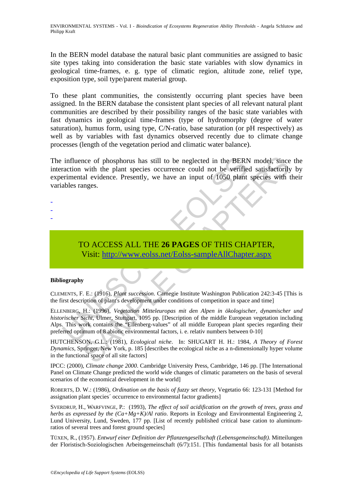In the BERN model database the natural basic plant communities are assigned to basic site types taking into consideration the basic state variables with slow dynamics in geological time-frames, e. g. type of climatic region, altitude zone, relief type, exposition type, soil type/parent material group.

To these plant communities, the consistently occurring plant species have been assigned. In the BERN database the consistent plant species of all relevant natural plant communities are described by their possibility ranges of the basic state variables with fast dynamics in geological time-frames (type of hydromorphy (degree of water saturation), humus form, using type, C/N-ratio, base saturation (or pH respectively) as well as by variables with fast dynamics observed recently due to climate change processes (length of the vegetation period and climatic water balance).

influence of phosphorus has still to be neglected in the BERN<br>raction with the plant species occurrence could not be verifie<br>erimental evidence. Presently, we have an input of 1050 plant<br>ables ranges.<br>TO ACCESS ALL THE 26 nce of phosphorus has still to be neglected in the BERN model, since<br>with the plant species occurrence could not be verified satisfactorily<br>all evidence. Presently, we have an input of 1050 plant species with t<br>anges.<br><br>CO The influence of phosphorus has still to be neglected in the BERN model, since the interaction with the plant species occurrence could not be verified satisfactorily by experimental evidence. Presently, we have an input of 1050 plant species with their variables ranges.

# TO ACCESS ALL THE **26 PAGES** OF THIS CHAPTER, Visit: http://www.eolss.net/Eolss-sampleAllChapter.aspx

#### **Bibliography**

- - -

CLEMENTS, F. E.: (1916), *Plant succession*. Carnegie Institute Washington Publication 242:3-45 [This is the first description of plant's development under conditions of competition in space and time]

ELLENBERG, H.: (1996), *Vegetation Mitteleuropas mit den Alpen in ökologischer, dynamischer und historischer Sicht*, Ulmer, Stuttgart, 1095 pp. [Description of the middle European vegetation including Alps. This work contains the "Ellenberg-values" of all middle European plant species regarding their preferred optimum of 8 abiotic environmental factors, i. e. relativ numbers between 0-10]

HUTCHENSON, G.L.: (1981), *Ecological niche*. In: SHUGART H. H.: 1984, *A Theory of Forest Dynamics*, Springer, New York, p. 185 [describes the ecological niche as a n-dimensionally hyper volume in the functional space of all site factors]

IPCC: (2000), *Climate change 2000*. Cambridge University Press, Cambridge, 146 pp. [The International Panel on Climate Change predicted the world wide changes of climatic parameters on the basis of several scenarios of the economical development in the world]

ROBERTS, D. W.: (1986), *Ordination on the basis of fuzzy set theory*, Vegetatio 66: 123-131 [Method for assignation plant species´ occurrence to environmental factor gradients]

SVERDRUP, H., WARFVINGE, P.: (1993), *The effect of soil acidification on the growth of trees, grass and herbs as expressed by the (Ca+Mg+K)/Al ratio*. Reports in Ecology and Environmental Engineering 2, Lund University, Lund, Sweden, 177 pp. [List of recently published critical base cation to aluminumratios of several trees and forest ground species]

TÜXEN, R., (1957). *Entwurf einer Definition der Pflanzengesellschaft (Lebensgemeinschaft)*. Mitteilungen der Floristisch-Soziologischen Arbeitsgemeinschaft (6/7):151. [This fundamental basis for all botanists